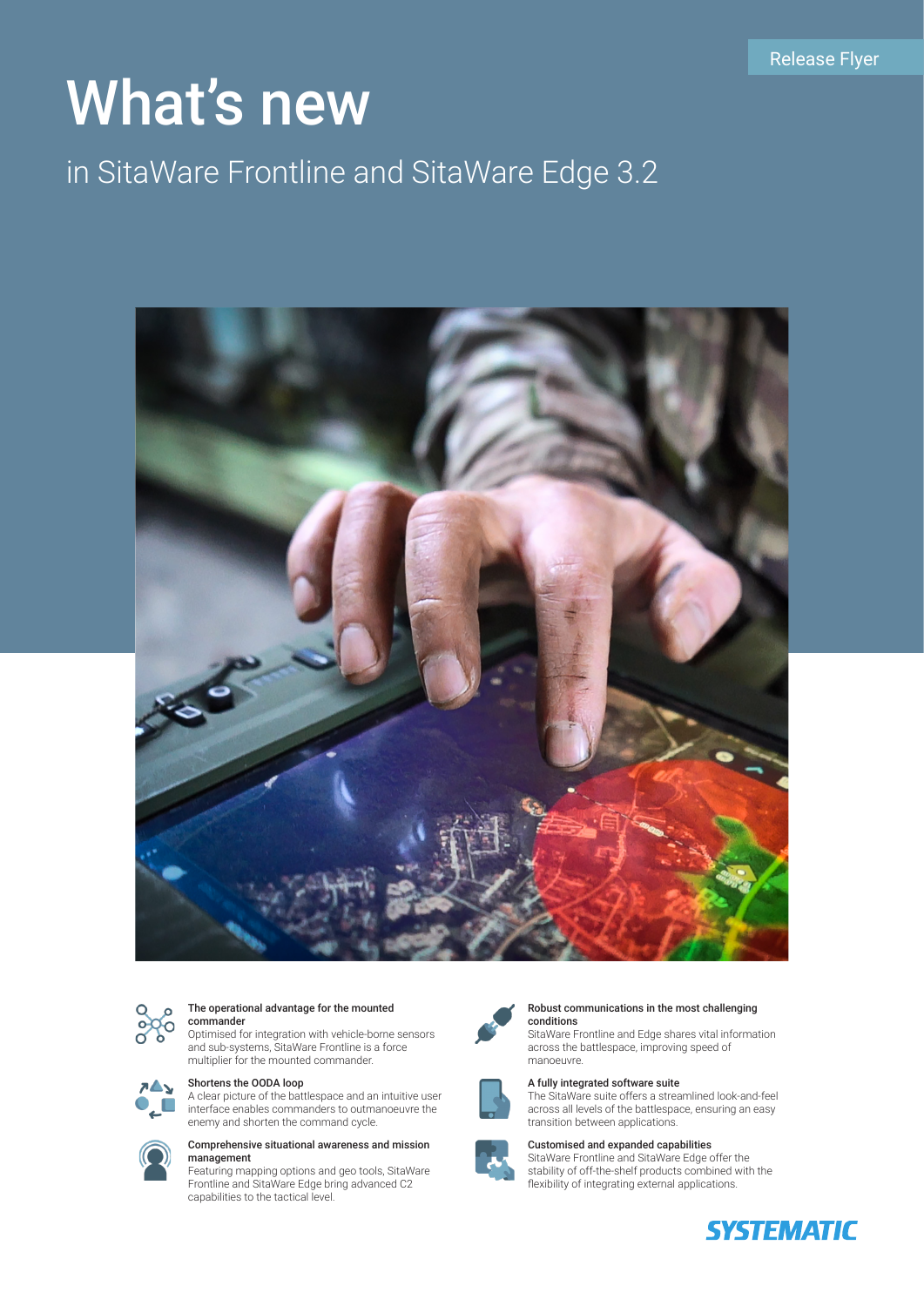# What's new

# in SitaWare Frontline and SitaWare Edge 3.2





#### The operational advantage for the mounted commander

Optimised for integration with vehicle-borne sensors and sub-systems, SitaWare Frontline is a force multiplier for the mounted commander.

#### Shortens the OODA loop 7≜ъ.

A clear picture of the battlespace and an intuitive user ,  $\square$ interface enables commanders to outmanoeuvre the enemy and shorten the command cycle.



# Comprehensive situational awareness and mission

Featuring mapping options and geo tools, SitaWare Frontline and SitaWare Edge bring advanced C2 capabilities to the tactical level.



#### Robust communications in the most challenging conditions

SitaWare Frontline and Edge shares vital information across the battlespace, improving speed of manoeuvre.



# A fully integrated software suite

The SitaWare suite offers a streamlined look-and-feel across all levels of the battlespace, ensuring an easy transition between applications.



Customised and expanded capabilities SitaWare Frontline and SitaWare Edge offer the stability of off-the-shelf products combined with the flexibility of integrating external applications.